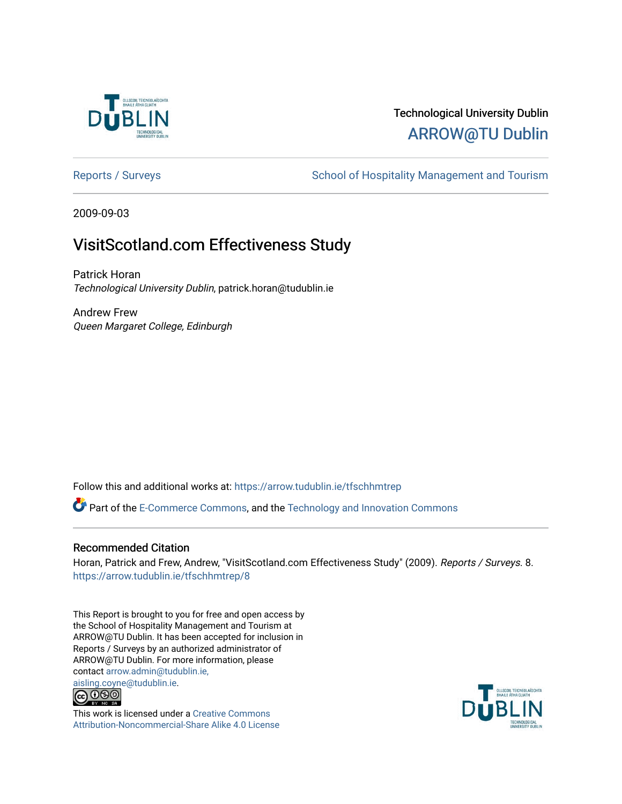

## Technological University Dublin [ARROW@TU Dublin](https://arrow.tudublin.ie/)

[Reports / Surveys](https://arrow.tudublin.ie/tfschhmtrep) **School of Hospitality Management and Tourism** 

2009-09-03

## VisitScotland.com Effectiveness Study

Patrick Horan Technological University Dublin, patrick.horan@tudublin.ie

Andrew Frew Queen Margaret College, Edinburgh

Follow this and additional works at: [https://arrow.tudublin.ie/tfschhmtrep](https://arrow.tudublin.ie/tfschhmtrep?utm_source=arrow.tudublin.ie%2Ftfschhmtrep%2F8&utm_medium=PDF&utm_campaign=PDFCoverPages)

**Part of the [E-Commerce Commons](http://network.bepress.com/hgg/discipline/624?utm_source=arrow.tudublin.ie%2Ftfschhmtrep%2F8&utm_medium=PDF&utm_campaign=PDFCoverPages), and the Technology and Innovation Commons** 

#### Recommended Citation

Horan, Patrick and Frew, Andrew, "VisitScotland.com Effectiveness Study" (2009). Reports / Surveys. 8. [https://arrow.tudublin.ie/tfschhmtrep/8](https://arrow.tudublin.ie/tfschhmtrep/8?utm_source=arrow.tudublin.ie%2Ftfschhmtrep%2F8&utm_medium=PDF&utm_campaign=PDFCoverPages)

This Report is brought to you for free and open access by the School of Hospitality Management and Tourism at ARROW@TU Dublin. It has been accepted for inclusion in Reports / Surveys by an authorized administrator of ARROW@TU Dublin. For more information, please contact [arrow.admin@tudublin.ie,](mailto:arrow.admin@tudublin.ie,%20aisling.coyne@tudublin.ie)  [aisling.coyne@tudublin.ie.](mailto:arrow.admin@tudublin.ie,%20aisling.coyne@tudublin.ie)<br>© 090



This work is licensed under a [Creative Commons](http://creativecommons.org/licenses/by-nc-sa/4.0/) [Attribution-Noncommercial-Share Alike 4.0 License](http://creativecommons.org/licenses/by-nc-sa/4.0/)

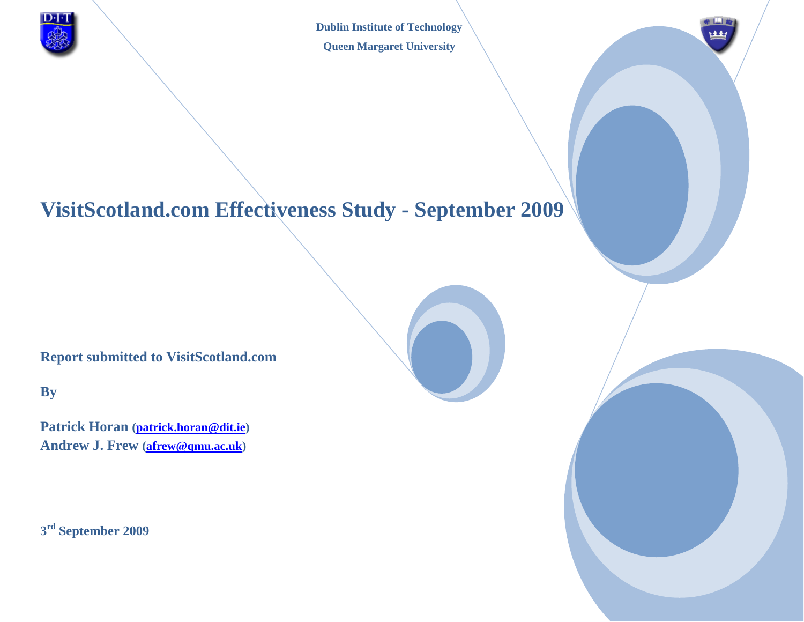

**Dublin Institute of Technology Queen Margaret University**

## **VisitScotland.com Effectiveness Study - September 2009**

**Report submitted to VisitScotland.com**

**By**

**Patrick Horan [\(patrick.horan@dit.ie\)](mailto:patrick.horan@dit.ie) Andrew J. Frew [\(afrew@qmu.ac.uk\)](mailto:afrew@qmu.ac.uk)**

**3 rd September 2009**

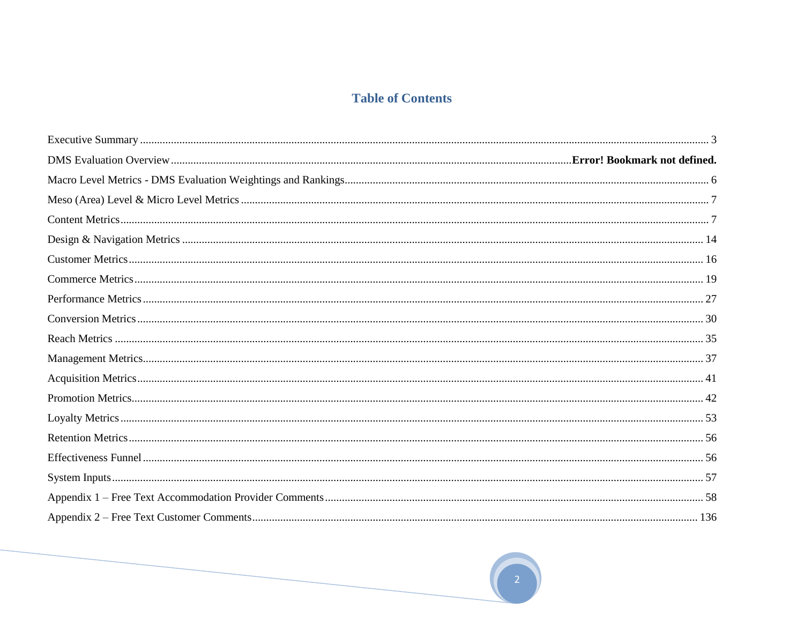### **Table of Contents**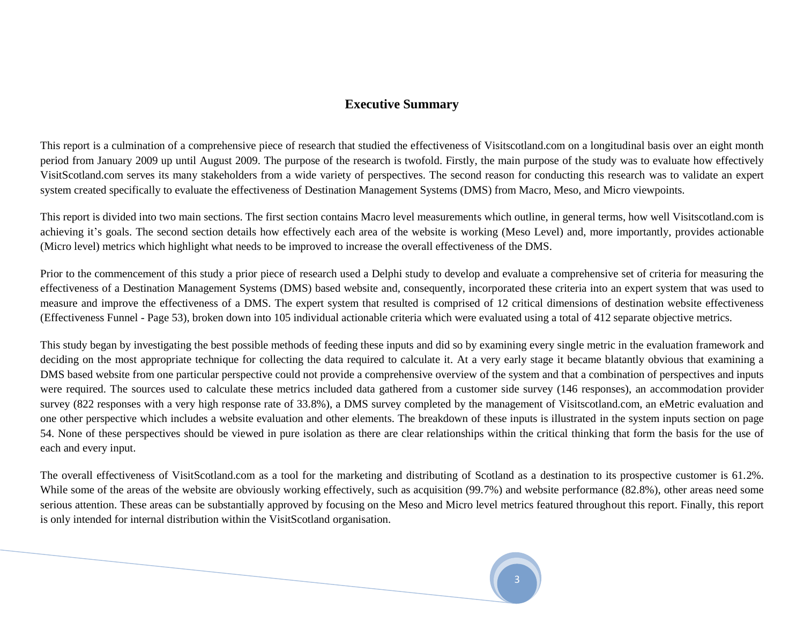#### **Executive Summary**

This report is a culmination of a comprehensive piece of research that studied the effectiveness of Visitscotland.com on a longitudinal basis over an eight month period from January 2009 up until August 2009. The purpose of the research is twofold. Firstly, the main purpose of the study was to evaluate how effectively VisitScotland.com serves its many stakeholders from a wide variety of perspectives. The second reason for conducting this research was to validate an expert system created specifically to evaluate the effectiveness of Destination Management Systems (DMS) from Macro, Meso, and Micro viewpoints.

This report is divided into two main sections. The first section contains Macro level measurements which outline, in general terms, how well Visitscotland.com is achieving it's goals. The second section details how effectively each area of the website is working (Meso Level) and, more importantly, provides actionable (Micro level) metrics which highlight what needs to be improved to increase the overall effectiveness of the DMS.

Prior to the commencement of this study a prior piece of research used a Delphi study to develop and evaluate a comprehensive set of criteria for measuring the effectiveness of a Destination Management Systems (DMS) based website and, consequently, incorporated these criteria into an expert system that was used to measure and improve the effectiveness of a DMS. The expert system that resulted is comprised of 12 critical dimensions of destination website effectiveness (Effectiveness Funnel - Page 53), broken down into 105 individual actionable criteria which were evaluated using a total of 412 separate objective metrics.

This study began by investigating the best possible methods of feeding these inputs and did so by examining every single metric in the evaluation framework and deciding on the most appropriate technique for collecting the data required to calculate it. At a very early stage it became blatantly obvious that examining a DMS based website from one particular perspective could not provide a comprehensive overview of the system and that a combination of perspectives and inputs were required. The sources used to calculate these metrics included data gathered from a customer side survey (146 responses), an accommodation provider survey (822 responses with a very high response rate of 33.8%), a DMS survey completed by the management of Visitscotland.com, an eMetric evaluation and one other perspective which includes a website evaluation and other elements. The breakdown of these inputs is illustrated in the system inputs section on page 54. None of these perspectives should be viewed in pure isolation as there are clear relationships within the critical thinking that form the basis for the use of each and every input.

The overall effectiveness of VisitScotland.com as a tool for the marketing and distributing of Scotland as a destination to its prospective customer is 61.2%. While some of the areas of the website are obviously working effectively, such as acquisition (99.7%) and website performance (82.8%), other areas need some serious attention. These areas can be substantially approved by focusing on the Meso and Micro level metrics featured throughout this report. Finally, this report is only intended for internal distribution within the VisitScotland organisation.